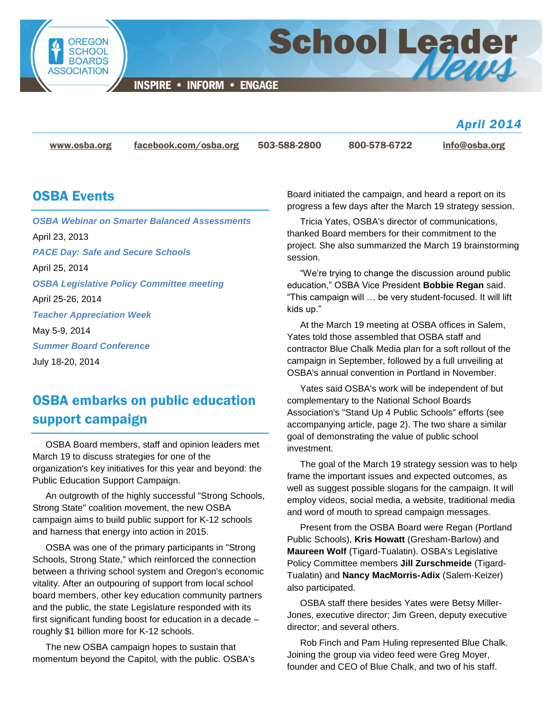

**INSPIRE • INFORM • ENGAGE** 

*April 2014*

[www.osba.org](http://www.osba.org/) [facebook.com/osba.org](http://www.facebook.com/osba.org) 503-588-2800 800-578-6722 [info@osba.org](mailto:info@osba.org)

**School Leader** 

#### OSBA Events

*OSBA [Webinar on Smarter Balanced Assessments](http://www.osba.org/Calendar/Events/Webinar-SmarterBalanced-2014-04-23.aspx)* April 23, 2013 *[PACE Day: Safe and Secure Schools](http://www.osba.org/Calendar/Events/PACE_Day-2014.aspx)* April 25, 2014 *[OSBA Legislative Policy Committee meeting](http://www.osba.org/Calendar/Events/OSBA_Legislative_Policy_Committee_Meeting-April_2014.aspx)* April 25-26, 2014 *[Teacher Appreciation Week](http://www.osba.org/Calendar/Events/Teacher_Appreciation_Week.aspx)* May 5-9, 2014 *[Summer Board Conference](http://www.osba.org/Calendar/Events/Summer_board_conference-2014.aspx)* July 18-20, 2014

# OSBA embarks on public education support campaign

OSBA Board members, staff and opinion leaders met March 19 to discuss strategies for one of the organization's key initiatives for this year and beyond: the Public Education Support Campaign.

An outgrowth of the highly successful "Strong Schools, Strong State" coalition movement, the new OSBA campaign aims to build public support for K-12 schools and harness that energy into action in 2015.

OSBA was one of the primary participants in "Strong Schools, Strong State," which reinforced the connection between a thriving school system and Oregon's economic vitality. After an outpouring of support from local school board members, other key education community partners and the public, the state Legislature responded with its first significant funding boost for education in a decade – roughly \$1 billion more for K-12 schools.

The new OSBA campaign hopes to sustain that momentum beyond the Capitol, with the public. OSBA's Board initiated the campaign, and heard a report on its progress a few days after the March 19 strategy session.

Tricia Yates, OSBA's director of communications, thanked Board members for their commitment to the project. She also summarized the March 19 brainstorming session.

"We're trying to change the discussion around public education," OSBA Vice President **Bobbie Regan** said. "This campaign will … be very student-focused. It will lift kids up."

At the March 19 meeting at OSBA offices in Salem, Yates told those assembled that OSBA staff and contractor Blue Chalk Media plan for a soft rollout of the campaign in September, followed by a full unveiling at OSBA's annual convention in Portland in November.

Yates said OSBA's work will be independent of but complementary to the National School Boards Association's "Stand Up 4 Public Schools" efforts (see accompanying article, page 2). The two share a similar goal of demonstrating the value of public school investment.

The goal of the March 19 strategy session was to help frame the important issues and expected outcomes, as well as suggest possible slogans for the campaign. It will employ videos, social media, a website, traditional media and word of mouth to spread campaign messages.

Present from the OSBA Board were Regan (Portland Public Schools), **Kris Howatt** (Gresham-Barlow) and **Maureen Wolf** (Tigard-Tualatin). OSBA's Legislative Policy Committee members **Jill Zurschmeide** (Tigard-Tualatin) and **Nancy MacMorris-Adix** (Salem-Keizer) also participated.

OSBA staff there besides Yates were Betsy Miller-Jones, executive director; Jim Green, deputy executive director; and several others.

Rob Finch and Pam Huling represented Blue Chalk. Joining the group via video feed were Greg Moyer, founder and CEO of Blue Chalk, and two of his staff.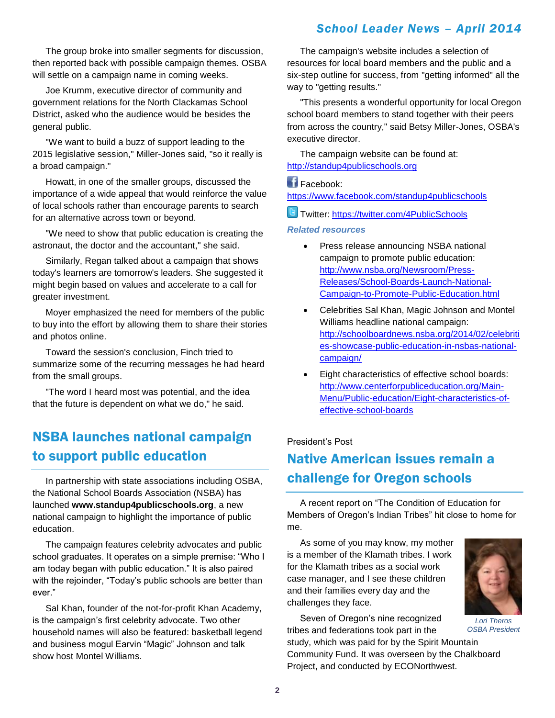The group broke into smaller segments for discussion, then reported back with possible campaign themes. OSBA will settle on a campaign name in coming weeks.

Joe Krumm, executive director of community and government relations for the North Clackamas School District, asked who the audience would be besides the general public.

"We want to build a buzz of support leading to the 2015 legislative session," Miller-Jones said, "so it really is a broad campaign."

Howatt, in one of the smaller groups, discussed the importance of a wide appeal that would reinforce the value of local schools rather than encourage parents to search for an alternative across town or beyond.

"We need to show that public education is creating the astronaut, the doctor and the accountant," she said.

Similarly, Regan talked about a campaign that shows today's learners are tomorrow's leaders. She suggested it might begin based on values and accelerate to a call for greater investment.

Moyer emphasized the need for members of the public to buy into the effort by allowing them to share their stories and photos online.

Toward the session's conclusion, Finch tried to summarize some of the recurring messages he had heard from the small groups.

"The word I heard most was potential, and the idea that the future is dependent on what we do," he said.

## NSBA launches national campaign to support public education

In partnership with state associations including OSBA, the National School Boards Association (NSBA) has launched **www.standup4publicschools.org**, a new national campaign to highlight the importance of public education.

The campaign features celebrity advocates and public school graduates. It operates on a simple premise: "Who I am today began with public education." It is also paired with the rejoinder, "Today's public schools are better than ever."

Sal Khan, founder of the not-for-profit Khan Academy, is the campaign's first celebrity advocate. Two other household names will also be featured: basketball legend and business mogul Earvin "Magic" Johnson and talk show host Montel Williams.

The campaign's website includes a selection of resources for local board members and the public and a six-step outline for success, from "getting informed" all the way to "getting results."

"This presents a wonderful opportunity for local Oregon school board members to stand together with their peers from across the country," said Betsy Miller-Jones, OSBA's executive director.

The campaign website can be found at: [http://standup4publicschools.org](http://standup4publicschools.org/)

#### Facebook:

<https://www.facebook.com/standup4publicschools>

Twitter: <https://twitter.com/4PublicSchools>

#### *Related resources*

- Press release announcing NSBA national campaign to promote public education: [http://www.nsba.org/Newsroom/Press-](http://www.nsba.org/Newsroom/Press-Releases/School-Boards-Launch-National-Campaign-to-Promote-Public-Education.html)[Releases/School-Boards-Launch-National-](http://www.nsba.org/Newsroom/Press-Releases/School-Boards-Launch-National-Campaign-to-Promote-Public-Education.html)[Campaign-to-Promote-Public-Education.html](http://www.nsba.org/Newsroom/Press-Releases/School-Boards-Launch-National-Campaign-to-Promote-Public-Education.html)
- Celebrities Sal Khan, Magic Johnson and Montel Williams headline national campaign: [http://schoolboardnews.nsba.org/2014/02/celebriti](http://schoolboardnews.nsba.org/2014/02/celebrities-showcase-public-education-in-nsbas-national-campaign/) [es-showcase-public-education-in-nsbas-national](http://schoolboardnews.nsba.org/2014/02/celebrities-showcase-public-education-in-nsbas-national-campaign/)[campaign/](http://schoolboardnews.nsba.org/2014/02/celebrities-showcase-public-education-in-nsbas-national-campaign/)
- Eight characteristics of effective school boards: [http://www.centerforpubliceducation.org/Main-](http://www.centerforpubliceducation.org/Main-Menu/Public-education/Eight-characteristics-of-effective-school-boards)[Menu/Public-education/Eight-characteristics-of](http://www.centerforpubliceducation.org/Main-Menu/Public-education/Eight-characteristics-of-effective-school-boards)[effective-school-boards](http://www.centerforpubliceducation.org/Main-Menu/Public-education/Eight-characteristics-of-effective-school-boards)

#### President's Post

### Native American issues remain a challenge for Oregon schools

A recent report on "The Condition of Education for Members of Oregon's Indian Tribes" hit close to home for me.

As some of you may know, my mother is a member of the Klamath tribes. I work for the Klamath tribes as a social work case manager, and I see these children and their families every day and the challenges they face.

Seven of Oregon's nine recognized tribes and federations took part in the

study, which was paid for by the Spirit Mountain Community Fund. It was overseen by the Chalkboard Project, and conducted by ECONorthwest.



*Lori Theros OSBA President*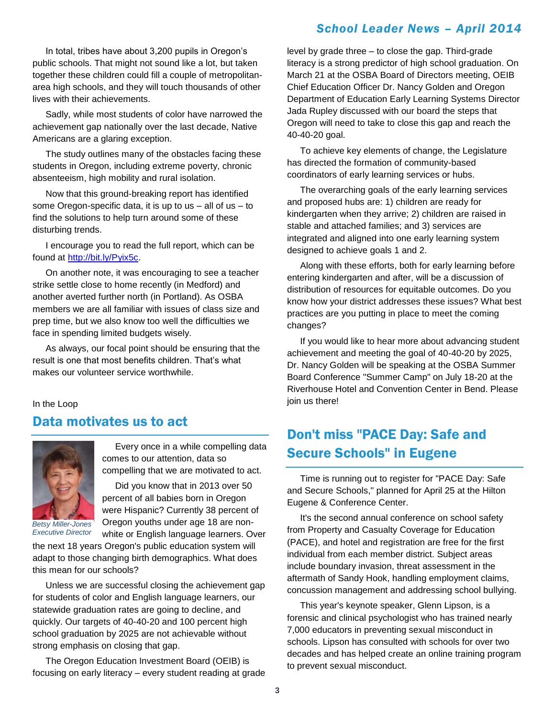In total, tribes have about 3,200 pupils in Oregon's public schools. That might not sound like a lot, but taken together these children could fill a couple of metropolitanarea high schools, and they will touch thousands of other lives with their achievements.

Sadly, while most students of color have narrowed the achievement gap nationally over the last decade, Native Americans are a glaring exception.

The study outlines many of the obstacles facing these students in Oregon, including extreme poverty, chronic absenteeism, high mobility and rural isolation.

Now that this ground-breaking report has identified some Oregon-specific data, it is up to us  $-$  all of us  $-$  to find the solutions to help turn around some of these disturbing trends.

I encourage you to read the full report, which can be found at [http://bit.ly/Pyix5c.](http://bit.ly/Pyix5c)

On another note, it was encouraging to see a teacher strike settle close to home recently (in Medford) and another averted further north (in Portland). As OSBA members we are all familiar with issues of class size and prep time, but we also know too well the difficulties we face in spending limited budgets wisely.

As always, our focal point should be ensuring that the result is one that most benefits children. That's what makes our volunteer service worthwhile.

In the Loop

#### Data motivates us to act



*Betsy Miller-Jones Executive Director*

Every once in a while compelling data comes to our attention, data so compelling that we are motivated to act.

Did you know that in 2013 over 50 percent of all babies born in Oregon were Hispanic? Currently 38 percent of Oregon youths under age 18 are nonwhite or English language learners. Over

the next 18 years Oregon's public education system will adapt to those changing birth demographics. What does this mean for our schools?

Unless we are successful closing the achievement gap for students of color and English language learners, our statewide graduation rates are going to decline, and quickly. Our targets of 40-40-20 and 100 percent high school graduation by 2025 are not achievable without strong emphasis on closing that gap.

The Oregon Education Investment Board (OEIB) is focusing on early literacy – every student reading at grade level by grade three – to close the gap. Third-grade literacy is a strong predictor of high school graduation. On March 21 at the OSBA Board of Directors meeting, OEIB Chief Education Officer Dr. Nancy Golden and Oregon Department of Education Early Learning Systems Director Jada Rupley discussed with our board the steps that Oregon will need to take to close this gap and reach the 40-40-20 goal.

To achieve key elements of change, the Legislature has directed the formation of community-based coordinators of early learning services or hubs.

The overarching goals of the early learning services and proposed hubs are: 1) children are ready for kindergarten when they arrive; 2) children are raised in stable and attached families; and 3) services are integrated and aligned into one early learning system designed to achieve goals 1 and 2.

Along with these efforts, both for early learning before entering kindergarten and after, will be a discussion of distribution of resources for equitable outcomes. Do you know how your district addresses these issues? What best practices are you putting in place to meet the coming changes?

If you would like to hear more about advancing student achievement and meeting the goal of 40-40-20 by 2025, Dr. Nancy Golden will be speaking at the OSBA Summer Board Conference "Summer Camp" on July 18-20 at the Riverhouse Hotel and Convention Center in Bend. Please join us there!

## Don't miss "PACE Day: Safe and Secure Schools" in Eugene

Time is running out to register for "PACE Day: Safe and Secure Schools," planned for April 25 at the Hilton Eugene & Conference Center.

It's the second annual conference on school safety from Property and Casualty Coverage for Education (PACE), and hotel and registration are free for the first individual from each member district. Subject areas include boundary invasion, threat assessment in the aftermath of Sandy Hook, handling employment claims, concussion management and addressing school bullying.

This year's keynote speaker, Glenn Lipson, is a forensic and clinical psychologist who has trained nearly 7,000 educators in preventing sexual misconduct in schools. Lipson has consulted with schools for over two decades and has helped create an online training program to prevent sexual misconduct.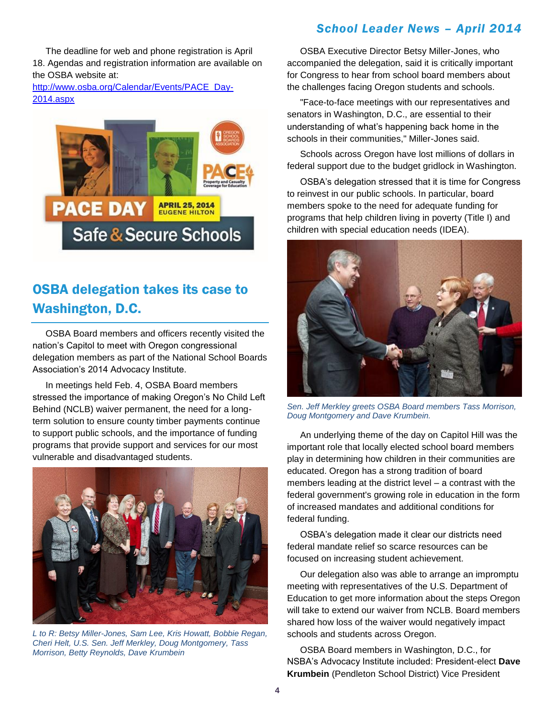The deadline for web and phone registration is April 18. Agendas and registration information are available on the OSBA website at:

[http://www.osba.org/Calendar/Events/PACE\\_Day-](http://www.osba.org/Calendar/Events/PACE_Day-2014.aspx)[2014.aspx](http://www.osba.org/Calendar/Events/PACE_Day-2014.aspx)



# OSBA delegation takes its case to Washington, D.C.

OSBA Board members and officers recently visited the nation's Capitol to meet with Oregon congressional delegation members as part of the National School Boards Association's 2014 Advocacy Institute.

In meetings held Feb. 4, OSBA Board members stressed the importance of making Oregon's No Child Left Behind (NCLB) waiver permanent, the need for a longterm solution to ensure county timber payments continue to support public schools, and the importance of funding programs that provide support and services for our most vulnerable and disadvantaged students.



*L to R: Betsy Miller-Jones, Sam Lee, Kris Howatt, Bobbie Regan, Cheri Helt, U.S. Sen. Jeff Merkley, Doug Montgomery, Tass Morrison, Betty Reynolds, Dave Krumbein*

OSBA Executive Director Betsy Miller-Jones, who accompanied the delegation, said it is critically important for Congress to hear from school board members about the challenges facing Oregon students and schools.

"Face-to-face meetings with our representatives and senators in Washington, D.C., are essential to their understanding of what's happening back home in the schools in their communities," Miller-Jones said.

Schools across Oregon have lost millions of dollars in federal support due to the budget gridlock in Washington.

OSBA's delegation stressed that it is time for Congress to reinvest in our public schools. In particular, board members spoke to the need for adequate funding for programs that help children living in poverty (Title I) and children with special education needs (IDEA).



*Sen. Jeff Merkley greets OSBA Board members Tass Morrison, Doug Montgomery and Dave Krumbein.*

An underlying theme of the day on Capitol Hill was the important role that locally elected school board members play in determining how children in their communities are educated. Oregon has a strong tradition of board members leading at the district level – a contrast with the federal government's growing role in education in the form of increased mandates and additional conditions for federal funding.

OSBA's delegation made it clear our districts need federal mandate relief so scarce resources can be focused on increasing student achievement.

Our delegation also was able to arrange an impromptu meeting with representatives of the U.S. Department of Education to get more information about the steps Oregon will take to extend our waiver from NCLB. Board members shared how loss of the waiver would negatively impact schools and students across Oregon.

OSBA Board members in Washington, D.C., for NSBA's Advocacy Institute included: President-elect **Dave Krumbein** (Pendleton School District) Vice President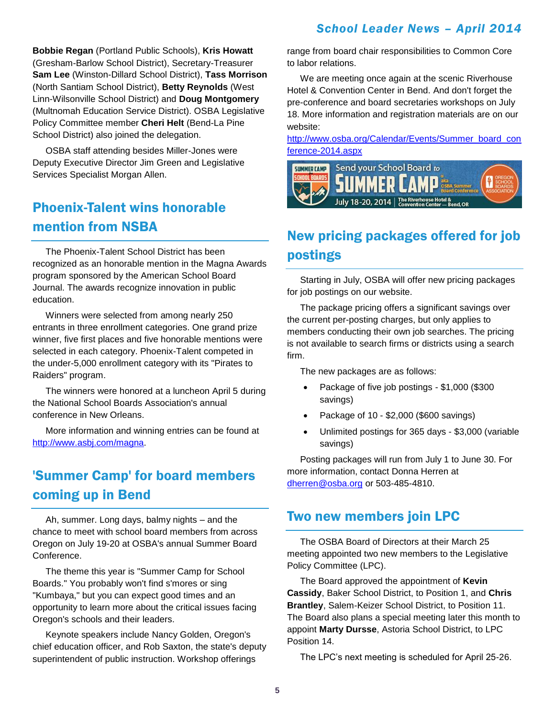**Bobbie Regan** (Portland Public Schools), **Kris Howatt** (Gresham-Barlow School District), Secretary-Treasurer **Sam Lee** (Winston-Dillard School District), **Tass Morrison** (North Santiam School District), **Betty Reynolds** (West Linn-Wilsonville School District) and **Doug Montgomery** (Multnomah Education Service District). OSBA Legislative Policy Committee member **Cheri Helt** (Bend-La Pine School District) also joined the delegation.

OSBA staff attending besides Miller-Jones were Deputy Executive Director Jim Green and Legislative Services Specialist Morgan Allen.

### Phoenix-Talent wins honorable mention from NSBA

The Phoenix-Talent School District has been recognized as an honorable mention in the Magna Awards program sponsored by the American School Board Journal. The awards recognize innovation in public education.

Winners were selected from among nearly 250 entrants in three enrollment categories. One grand prize winner, five first places and five honorable mentions were selected in each category. Phoenix-Talent competed in the under-5,000 enrollment category with its "Pirates to Raiders" program.

The winners were honored at a luncheon April 5 during the National School Boards Association's annual conference in New Orleans.

More information and winning entries can be found at [http://www.asbj.com/magna.](http://www.asbj.com/magna)

## 'Summer Camp' for board members coming up in Bend

Ah, summer. Long days, balmy nights – and the chance to meet with school board members from across Oregon on July 19-20 at OSBA's annual Summer Board Conference.

The theme this year is "Summer Camp for School Boards." You probably won't find s'mores or sing "Kumbaya," but you can expect good times and an opportunity to learn more about the critical issues facing Oregon's schools and their leaders.

Keynote speakers include Nancy Golden, Oregon's chief education officer, and Rob Saxton, the state's deputy superintendent of public instruction. Workshop offerings

range from board chair responsibilities to Common Core to labor relations.

We are meeting once again at the scenic Riverhouse Hotel & Convention Center in Bend. And don't forget the pre-conference and board secretaries workshops on July 18. More information and registration materials are on our website:

[http://www.osba.org/Calendar/Events/Summer\\_board\\_con](http://www.osba.org/Calendar/Events/Summer_board_conference-2014.aspx) [ference-2014.aspx](http://www.osba.org/Calendar/Events/Summer_board_conference-2014.aspx)



# New pricing packages offered for job postings

Starting in July, OSBA will offer new pricing packages for job postings on our website.

The package pricing offers a significant savings over the current per-posting charges, but only applies to members conducting their own job searches. The pricing is not available to search firms or districts using a search firm.

The new packages are as follows:

- Package of five job postings \$1,000 (\$300 savings)
- Package of 10 \$2,000 (\$600 savings)
- Unlimited postings for 365 days \$3,000 (variable savings)

Posting packages will run from July 1 to June 30. For more information, contact Donna Herren at [dherren@osba.org](mailto:dherren@osba.org) or 503-485-4810.

#### Two new members join LPC

The OSBA Board of Directors at their March 25 meeting appointed two new members to the Legislative Policy Committee (LPC).

The Board approved the appointment of **Kevin Cassidy**, Baker School District, to Position 1, and **Chris Brantley**, Salem-Keizer School District, to Position 11. The Board also plans a special meeting later this month to appoint **Marty Dursse**, Astoria School District, to LPC Position 14.

The LPC's next meeting is scheduled for April 25-26.